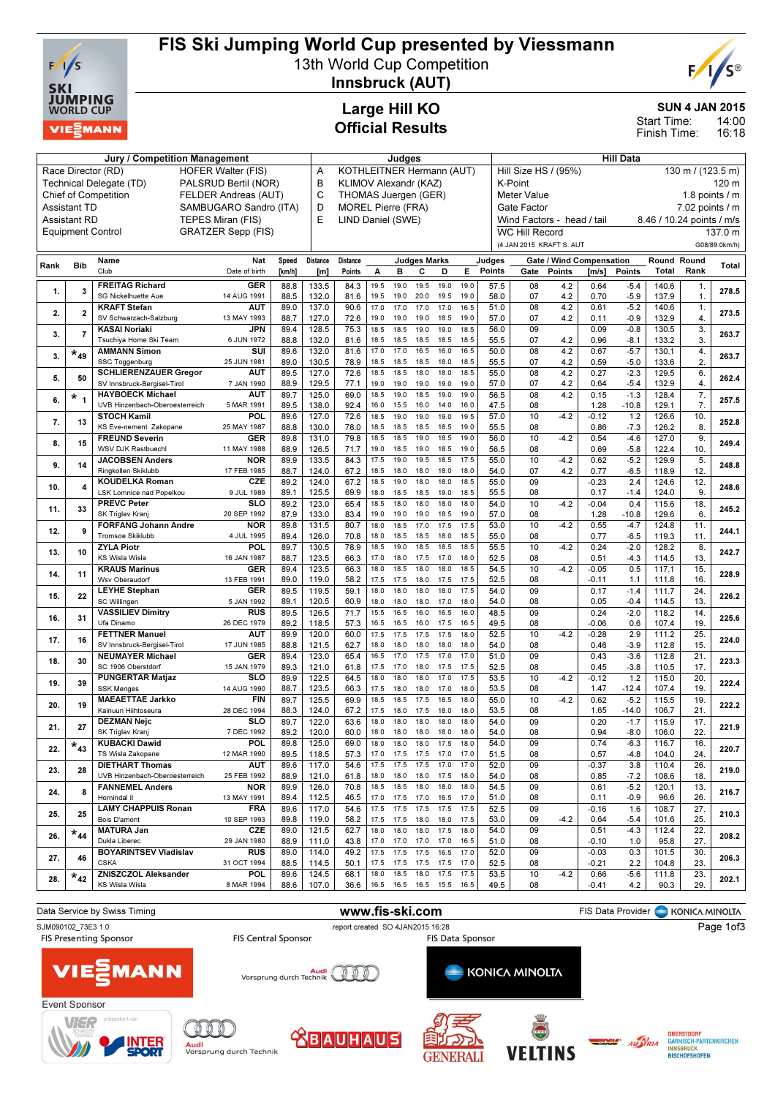

## FIS Ski Jumping World Cup presented by Viessmann

13th World Cup Competition



Innsbruck (AUT)

#### SUN 4 JAN 2015

14:00 16:18 Start Time: Finish Time:

### Large Hill KO Official Results

|      |                     | Judges                                          |                                                         |                   |                 |                           |              |                | Hill Data                   |                                                         |              |                  |                          |                                 |                 |                     |                |                     |               |  |  |
|------|---------------------|-------------------------------------------------|---------------------------------------------------------|-------------------|-----------------|---------------------------|--------------|----------------|-----------------------------|---------------------------------------------------------|--------------|------------------|--------------------------|---------------------------------|-----------------|---------------------|----------------|---------------------|---------------|--|--|
|      |                     | Race Director (RD)<br><b>HOFER Walter (FIS)</b> | KOTHLEITNER Hermann (AUT)<br>Α<br>KLIMOV Alexandr (KAZ) |                   |                 |                           |              |                |                             | Hill Size HS / (95%)<br>130 m / (123.5 m)               |              |                  |                          |                                 |                 |                     |                |                     |               |  |  |
|      |                     | Technical Delegate (TD)                         | PALSRUD Bertil (NOR)                                    |                   | B               |                           |              |                |                             |                                                         |              |                  | K-Point                  |                                 |                 |                     |                | 120 m               |               |  |  |
|      |                     | <b>Chief of Competition</b>                     | FELDER Andreas (AUT)                                    |                   | C               | THOMAS Juergen (GER)      |              |                |                             |                                                         |              |                  | <b>Meter Value</b>       |                                 |                 |                     | 1.8 points / m |                     |               |  |  |
|      | Assistant TD        |                                                 | SAMBUGARO Sandro (ITA)                                  |                   | D               | <b>MOREL Pierre (FRA)</b> |              |                |                             |                                                         |              |                  | Gate Factor              |                                 |                 | $7.02$ points $/ m$ |                |                     |               |  |  |
|      | <b>Assistant RD</b> | TEPES Miran (FIS)                               | E                                                       | LIND Daniel (SWE) |                 |                           |              |                |                             | Wind Factors - head / tail<br>8.46 / 10.24 points / m/s |              |                  |                          |                                 |                 |                     |                |                     |               |  |  |
|      |                     | <b>Equipment Control</b>                        | <b>GRATZER Sepp (FIS)</b>                               |                   |                 |                           |              |                |                             |                                                         |              |                  | <b>WC Hill Record</b>    |                                 |                 |                     |                |                     | 137.0 m       |  |  |
|      |                     |                                                 |                                                         |                   |                 |                           |              |                |                             |                                                         |              |                  | (4 JAN 2015 KRAFT S. AUT |                                 |                 |                     |                |                     | G08/89.0km/h) |  |  |
|      |                     |                                                 |                                                         |                   |                 |                           |              |                |                             |                                                         |              |                  |                          |                                 |                 |                     |                |                     | <b>Total</b>  |  |  |
| Rank | <b>Bib</b>          | Name<br>Club                                    | Nat                                                     | Speed             | <b>Distance</b> | Distance                  |              |                | <b>Judges Marks</b>         |                                                         |              | Judges<br>Points |                          | <b>Gate / Wind Compensation</b> |                 |                     |                | Round Round<br>Rank |               |  |  |
|      |                     |                                                 | Date of birth                                           | [km/h]            | [m]             | Points                    | А            | в              | c                           | D                                                       | Е            |                  | Gate                     | Points                          | $\mathsf{Im/s}$ | Points              | Total          |                     |               |  |  |
| 1.   | $\mathbf{3}$        | <b>FREITAG Richard</b>                          | <b>GER</b>                                              | 88.8              | 133.5           | 84.3                      | 19.5         | 19.0           | 19.5                        | 19.0                                                    | 19.0         | 57.5             | 08                       | 4.2                             | 0.64            | $-5.4$              | 140.6          | 1.                  | 278.5         |  |  |
|      |                     | SG Nickelhuette Aue                             | 14 AUG 1991                                             | 88.5              | 132.0           | 81.6                      | 19.5         | 19.0           | 20.0                        | 19.5                                                    | 19.0         | 58.0             | 07                       | 4.2                             | 0.70            | $-5.9$              | 137.9          | $\mathbf{1}$ .      |               |  |  |
| 2.   | $\overline{2}$      | <b>KRAFT Stefan</b>                             | <b>AUT</b>                                              | 89.0<br>88.7      | 137.0           | 90.6                      | 17.0         | 17.0           | 17.0                        | 17.0                                                    | 16.5         | 51.0             | 08<br>07                 | 4.2                             | 0.61            | $-5.2$              | 140.6          | 1.                  | 273.5         |  |  |
|      |                     | SV Schwarzach-Salzburg<br><b>KASAI Noriaki</b>  | 13 MAY 1993<br>JPN                                      | 89.4              | 127.0<br>128.5  | 72.6<br>75.3              | 19.0<br>18.5 | 19.0<br>18.5   | 19.0<br>19.0                | 18.5<br>19.0                                            | 19.0<br>18.5 | 57.0<br>56.0     | 09                       | 4.2                             | 0.11<br>0.09    | $-0.9$<br>$-0.8$    | 132.9<br>130.5 | 4.<br>3.            |               |  |  |
| 3.   | $\overline{7}$      | Tsuchiya Home Ski Team                          | 6 JUN 1972                                              | 88.8              | 132.0           | 81.6                      | 18.5         | 18.5           | 18.5                        | 18.5                                                    | 18.5         | 55.5             | 07                       | 4.2                             | 0.96            | $-8.1$              | 133.2          | 3.                  | 263.7         |  |  |
|      |                     | <b>AMMANN Simon</b>                             | SUI                                                     | 89.6              | 132.0           | 81.6                      | 17.0         | 17.0           | 16.5                        | 16.0                                                    | 16.5         | 50.0             | 08                       | 4.2                             | 0.67            | $-5.7$              | 130.1          | 4.                  |               |  |  |
| 3.   | $\star_{49}$        | SSC Toggenburg                                  | 25 JUN 1981                                             | 89.0              | 130.5           | 78.9                      | 18.5         | 18.5           | 18.5                        | 18.0                                                    | 18.5         | 55.5             | 07                       | 4.2                             | 0.59            | $-5.0$              | 133.6          | $\overline{2}$      | 263.7         |  |  |
|      |                     | <b>SCHLIERENZAUER Gregor</b>                    | <b>AUT</b>                                              | 89.5              | 127.0           | 72.6                      | 18.5         | 18.5           | 18.0                        | 18.0                                                    | 18.5         | 55.0             | 08                       | 4.2                             | 0.27            | $-2.3$              | 129.5          | 6.                  |               |  |  |
| 5.   | 50                  | SV Innsbruck-Bergisel-Tirol                     | 7 JAN 1990                                              | 88.9              | 129.5           | 77.1                      | 19.0         | 19.0           | 19.0                        | 19.0                                                    | 19.0         | 57.0             | 07                       | 4.2                             | 0.64            | $-5.4$              | 132.9          | 4.                  | 262.4         |  |  |
| 6.   | *<br>$\overline{1}$ | <b>HAYBOECK Michael</b>                         | AUT                                                     | 89.7              | 125.0           | 69.0                      | 18.5         | 19.0           | 18.5                        | 19.0                                                    | 19.0         | 56.5             | 08                       | 4.2                             | 0.15            | $-1.3$              | 128.4          | 7.                  | 257.5         |  |  |
|      |                     | UVB Hinzenbach-Oberoesterreich                  | 5 MAR 1991                                              | 89.5              | 138.0           | 92.4                      | 16.0         | 15.5           | 16.0                        | 14.0                                                    | 16.0         | 47.5             | 08                       |                                 | 1.28            | $-10.8$             | 129.1          | 7.                  |               |  |  |
| 7.   | 13                  | <b>STOCH Kamil</b>                              | POL                                                     | 89.6              | 127.0           | 72.6                      | 18.5         | 19.0           | 19.0                        | 19.0                                                    | 19.5         | 57.0             | 10                       | $-4.2$                          | $-0.12$         | 1.2                 | 126.6          | 10                  | 252.8         |  |  |
|      |                     | KS Eve-nement Zakopane                          | 25 MAY 1987                                             | 88.8              | 130.0           | 78.0                      | 18.5         | 18.5           | 18.5                        | 18.5                                                    | 19.0         | 55.5             | 08                       |                                 | 0.86            | $-7.3$              | 126.2          | 8.                  |               |  |  |
| 8.   | 15                  | <b>FREUND Severin</b>                           | <b>GER</b>                                              | 89.8              | 131.0           | 79.8                      | 18.5         | 18.5           | 19.0                        | 18.5                                                    | 19.0         | 56.0             | 10                       | $-4.2$                          | 0.54            | $-4.6$              | 127.0          | 9.                  | 249.4         |  |  |
|      |                     | WSV DJK Rastbuechl                              | 11 MAY 1988                                             | 88.9              | 126.5           | 71.7                      | 19.0         | 18.5           | 19.0                        | 18.5                                                    | 19.0         | 56.5             | 08                       |                                 | 0.69            | $-5.8$              | 122.4          | 10                  |               |  |  |
| 9.   | 14                  | <b>JACOBSEN Anders</b>                          | <b>NOR</b><br>17 FEB 1985                               | 89.9              | 133.5           | 84.3                      | 17.5         | 19.0<br>18.0   | 19.5                        | 18.5<br>18.0                                            | 17.5<br>18.0 | 55.0             | 10                       | $-4.2$                          | 0.62            | $-5.2$              | 129.9          | 5.                  | 248.8         |  |  |
|      |                     | Ringkollen Skiklubb<br><b>KOUDELKA Roman</b>    | CZE                                                     | 88.7<br>89.2      | 124.0<br>124.0  | 67.2<br>67.2              | 18.5<br>18.5 | 19.0           | 18.0<br>18.0                | 18.0                                                    | 18.5         | 54.0<br>55.0     | 07<br>09                 | 4.2                             | 0.77<br>$-0.23$ | $-6.5$<br>2.4       | 118.9<br>124.6 | 12.<br>12.          |               |  |  |
| 10.  | 4                   | LSK Lomnice nad Popelkou                        | 9 JUL 1989                                              | 89.1              | 125.5           | 69.9                      | 18.0         | 18.5           | 18.5                        | 19.0                                                    | 18.5         | 55.5             | 08                       |                                 | 0.17            | $-1.4$              | 124.0          | 9.                  | 248.6         |  |  |
|      |                     | <b>PREVC Peter</b>                              | SLO                                                     | 89.2              | 123.0           | 65.4                      | 18.5         | 18.0           | 18.0                        | 18.0                                                    | 18.0         | 54.0             | 10                       | $-4.2$                          | $-0.04$         | 0.4                 | 115.6          | 18.                 |               |  |  |
| 11.  | 33                  | SK Triglav Kranj                                | 20 SEP 1992                                             | 87.9              | 133.0           | 83.4                      | 19.0         | 19.0           | 19.0                        | 18.5                                                    | 19.0         | 57.0             | 08                       |                                 | 1.28            | $-10.8$             | 129.6          | 6.                  | 245.2         |  |  |
|      |                     | <b>FORFANG Johann Andre</b>                     | <b>NOR</b>                                              | 89.8              | 131.5           | 80.7                      | 18.0         | 18.5           | 17.0                        | 17.5                                                    | 17.5         | 53.0             | 10                       | $-4.2$                          | 0.55            | $-4.7$              | 124.8          | 11.                 |               |  |  |
| 12.  | 9                   | Tromsoe Skiklubb                                | 4 JUL 1995                                              | 89.4              | 126.0           | 70.8                      | 18.0         | 18.5           | 18.5                        | 18.0                                                    | 18.5         | 55.0             | 08                       |                                 | 0.77            | $-6.5$              | 119.3          | 11.                 | 244.1         |  |  |
| 13.  | 10                  | <b>ZYLA Piotr</b>                               | POL                                                     | 89.7              | 130.5           | 78.9                      | 18.5         | 19.0           | 18.5                        | 18.5                                                    | 18.5         | 55.5             | 10                       | $-4.2$                          | 0.24            | $-2.0$              | 128.2          | 8.                  | 242.7         |  |  |
|      |                     | KS Wisla Wisla                                  | 16 JAN 1987                                             | 88.7              | 123.5           | 66.3                      | 17.0         | 18.0           | 17.5                        | 17.0                                                    | 18.0         | 52.5             | 08                       |                                 | 0.51            | $-4.3$              | 114.5          | 13                  |               |  |  |
| 14.  | 11                  | <b>KRAUS Marinus</b>                            | <b>GER</b>                                              | 89.4              | 123.5           | 66.3                      | 18.0         | 18.5           | 18.0                        | 18.0                                                    | 18.5         | 54.5             | 10                       | $-4.2$                          | $-0.05$         | 0.5                 | 117.1          | 15.                 | 228.9         |  |  |
|      |                     | Wsv Oberaudorf                                  | 13 FEB 1991                                             | 89.0              | 119.0           | 58.2                      | 17.5         | 17.5           | 18.0                        | 17.5                                                    | 17.5         | 52.5             | 08                       |                                 | $-0.11$         | 1.1                 | 111.8          | 16                  |               |  |  |
| 15.  | 22                  | <b>LEYHE Stephan</b><br>SC Willingen            | <b>GER</b>                                              | 89.5              | 119.5           | 59.1                      | 18.0         | 18.0           | 18.0                        | 18.0                                                    | 17.5         | 54.0             | 09                       |                                 | 0.17            | $-1.4$              | 111.7          | 24.                 | 226.2         |  |  |
|      |                     | <b>VASSILIEV Dimitry</b>                        | 5 JAN 1992<br>RUS                                       | 89.1<br>89.5      | 120.5<br>126.5  | 60.9<br>71.7              | 18.0<br>15.5 | 18.0<br>16.5   | 18.0<br>16.0                | 17.0<br>16.5                                            | 18.0<br>16.0 | 54.0<br>48.5     | 08<br>09                 |                                 | 0.05<br>0.24    | $-0.4$<br>$-2.0$    | 114.5<br>118.2 | 13<br>14.           |               |  |  |
| 16.  | 31                  | Ufa Dinamo                                      | 26 DEC 1979                                             | 89.2              | 118.5           | 57.3                      | 16.5         | 16.5           | 16.0                        | 17.5                                                    | 16.5         | 49.5             | 08                       |                                 | $-0.06$         | 0.6                 | 107.4          | 19                  | 225.6         |  |  |
|      |                     | <b>FETTNER Manuel</b>                           | AUT                                                     | 89.9              | 120.0           | 60.0                      | 17.5         | 17.5           | 17.5                        | 17.5                                                    | 18.0         | 52.5             | 10                       | $-4.2$                          | $-0.28$         | 2.9                 | 111.2          | 25                  |               |  |  |
| 17.  | 16                  | SV Innsbruck-Bergisel-Tirol                     | 17 JUN 1985                                             | 88.8              | 121.5           | 62.7                      | 18.0         | 18.0           | 18.0                        | 18.0                                                    | 18.0         | 54.0             | 08                       |                                 | 0.46            | $-3.9$              | 112.8          | 15                  | 224.0         |  |  |
|      |                     | <b>NEUMAYER Michael</b>                         | GER                                                     | 89.4              | 123.0           | 65.4                      | 16.5         | 17.0           | 17.5                        | 17.0                                                    | 17.0         | 51.0             | 09                       |                                 | 0.43            | $-3.6$              | 112.8          | 21.                 |               |  |  |
| 18.  | 30                  | SC 1906 Oberstdorf                              | 15 JAN 1979                                             | 89.3              | 121.0           | 61.8                      | 17.5         | 17.0           | 18.0                        | 17.5                                                    | 17.5         | 52.5             | 08                       |                                 | 0.45            | $-3.8$              | 110.5          | 17.                 | 223.3         |  |  |
| 19.  | 39                  | <b>PUNGERTAR Matjaz</b>                         | SLO                                                     | 89.9              | 122.5           | 64.5                      | 18.0         | 18.0           | 18.0                        | 17.0                                                    | 17.5         | 53.5             | 10                       | $-4.2$                          | $-0.12$         | 1.2                 | 115.0          | 20.                 | 222.4         |  |  |
|      |                     | <b>SSK Menges</b>                               | 14 AUG 1990                                             | 88.7              | 123.5           | 66.3                      | 17.5         | 18.0           | 18.0                        | 17.0                                                    | 18.0         | 53.5             | 08                       |                                 | 1.47            | $-12.4$             | 107.4          | 19                  |               |  |  |
| 20.  | 19                  | <b>MAEAETTAE Jarkko</b>                         | <b>FIN</b>                                              | 89.7              | 125.5           | 69.9                      | 18.5         | 18.5           | 17.5                        | 18.5                                                    | 18.0         | 55.0             | 10                       | $-4.2$                          | 0.62            | $-5.2$              | 115.5          | 19.                 | 222.2         |  |  |
|      |                     | Kainuun Hiihtoseura                             | 28 DEC 1994                                             | 88.3              | 124.0           | 67.2                      | 17.5         | 18.0           | 17.5                        | 18.0                                                    | 18.0         | 53.5             | 08                       |                                 | 1.65            | $-14.0$             | 106.7          | 21.                 |               |  |  |
| 21.  | 27                  | <b>DEZMAN Nejc</b>                              | SLO                                                     | 89.7              | 122.0           | 63.6                      | 18.0         | 18.0           | 18.0                        | 18.0                                                    | 18.0         | 54.0             | 09                       |                                 | 0.20            | $-1.7$              | 115.9          | 17.                 | 221.9         |  |  |
|      |                     | SK Triglav Kranj                                | 7 DEC 1992                                              | 89.2              | 120.0           | 60.0                      | 18.0         | 18.0           | 18.0                        | 18.0                                                    | 18.0         | 54.0             | 08                       |                                 | 0.94            | $-8.0$              | 106.0          | 22.                 |               |  |  |
| 22.  | $*_{43}$            | <b>KUBACKI Dawid</b><br>TS Wisla Zakopane       | <b>POL</b><br>12 MAR 1990                               | 89.8<br>89.5      | 125.0<br>118.5  | 69.0<br>57.3              | 18.0<br>17.0 | 18.0           | 18.0 17.5<br>17.5 17.5 17.0 |                                                         | 18.0<br>17.0 | 54.0<br>51.5     | 09<br>08                 |                                 | 0.74<br>0.57    | $-6.3$<br>$-4.8$    | 116.7<br>104.0 | 16.<br>24.          | 220.7         |  |  |
|      |                     | <b>DIETHART Thomas</b>                          | <b>AUT</b>                                              | 89.6              | 117.0           | 54.6                      | 17.5         |                | 17.5 17.5 17.0              |                                                         | 17.0         | 52.0             | 09                       |                                 | $-0.37$         | 3.8                 | 110.4          | 26.                 |               |  |  |
| 23.  | 28                  | UVB Hinzenbach-Oberoesterreich                  | 25 FEB 1992                                             | 88.9              | 121.0           | 61.8                      | 18.0         |                | 18.0 18.0 17.5 18.0         |                                                         |              | 54.0             | 08                       |                                 | 0.85            | $-7.2$              | 108.6          | 18.                 | 219.0         |  |  |
|      |                     | <b>FANNEMEL Anders</b>                          | <b>NOR</b>                                              | 89.9              | 126.0           | 70.8                      | 18.5         | 18.5           | 18.0                        | 18.0                                                    | 18.0         | 54.5             | 09                       |                                 | 0.61            | $-5.2$              | 120.1          | 13.                 |               |  |  |
| 24.  | 8                   | Hornindal II                                    | 13 MAY 1991                                             | 89.4              | 112.5           | 46.5                      | 17.0         | 17.5 17.0      |                             | 16.5                                                    | 17.0         | 51.0             | 08                       |                                 | 0.11            | $-0.9$              | 96.6           | 26.                 | 216.7         |  |  |
|      | 25                  | <b>LAMY CHAPPUIS Ronan</b>                      | FRA                                                     | 89.6              | 117.0           | 54.6                      | 17.5         | 17.5           | 17.5                        | 17.5                                                    | 17.5         | 52.5             | 09                       |                                 | $-0.16$         | 1.6                 | 108.7          | 27.                 |               |  |  |
| 25.  |                     | Bois D'amont                                    | 10 SEP 1993                                             | 89.8              | 119.0           | 58.2                      | 17.5         |                | 17.5 18.0                   | 18.0                                                    | 17.5         | 53.0             | 09                       | $-4.2$                          | 0.64            | -5.4                | 101.6          | 25.                 | 210.3         |  |  |
| 26.  | $*_{44}$            | <b>MATURA Jan</b>                               | CZE                                                     | 89.0              | 121.5           | 62.7                      | 18.0         |                | $18.0$ $18.0$               | 17.5                                                    | 18.0         | 54.0             | 09                       |                                 | 0.51            | $-4.3$              | 112.4          | 22.                 | 208.2         |  |  |
|      |                     | Dukla Liberec                                   | 29 JAN 1980                                             | 88.9              | 111.0           | 43.8                      | 17.0         | 17.0           | 17.0                        | 17.0                                                    | 16.5         | 51.0             | 08                       |                                 | $-0.10$         | 1.0                 | 95.8           | 27.                 |               |  |  |
| 27.  | 46                  | <b>BOYARINTSEV Vladislav</b>                    | <b>RUS</b>                                              | 89.0              | 114.0           | 49.2                      | 17.5         | 17.5           | 17.5                        | 16.5                                                    | 17.0         | 52.0             | 09                       |                                 | $-0.03$         | 0.3                 | 101.5          | 30.                 | 206.3         |  |  |
|      |                     | <b>CSKA</b>                                     | 31 OCT 1994                                             | 88.5              | 114.5           | 50.1                      | 17.5         |                | 17.5 17.5 17.5 17.0         |                                                         |              | 52.5             | 08                       |                                 | $-0.21$         | 2.2                 | 104.8          | 23.                 |               |  |  |
| 28.  | $*_{42}$            | ZNISZCZOL Aleksander<br><b>KS Wisla Wisla</b>   | POL<br>8 MAR 1994                                       | 89.6<br>88.6      | 124.5<br>107.0  | 68.1<br>36.6              |              | 18.0 18.5 18.0 | 16.5 16.5 16.5 15.5 16.5    | 17.5 17.5                                               |              | 53.5<br>49.5     | 10<br>08                 | $-4.2$                          | 0.66<br>$-0.41$ | -5.6<br>4.2         | 111.8<br>90.3  | 23.<br>29.          | 202.1         |  |  |
|      |                     |                                                 |                                                         |                   |                 |                           |              |                |                             |                                                         |              |                  |                          |                                 |                 |                     |                |                     |               |  |  |

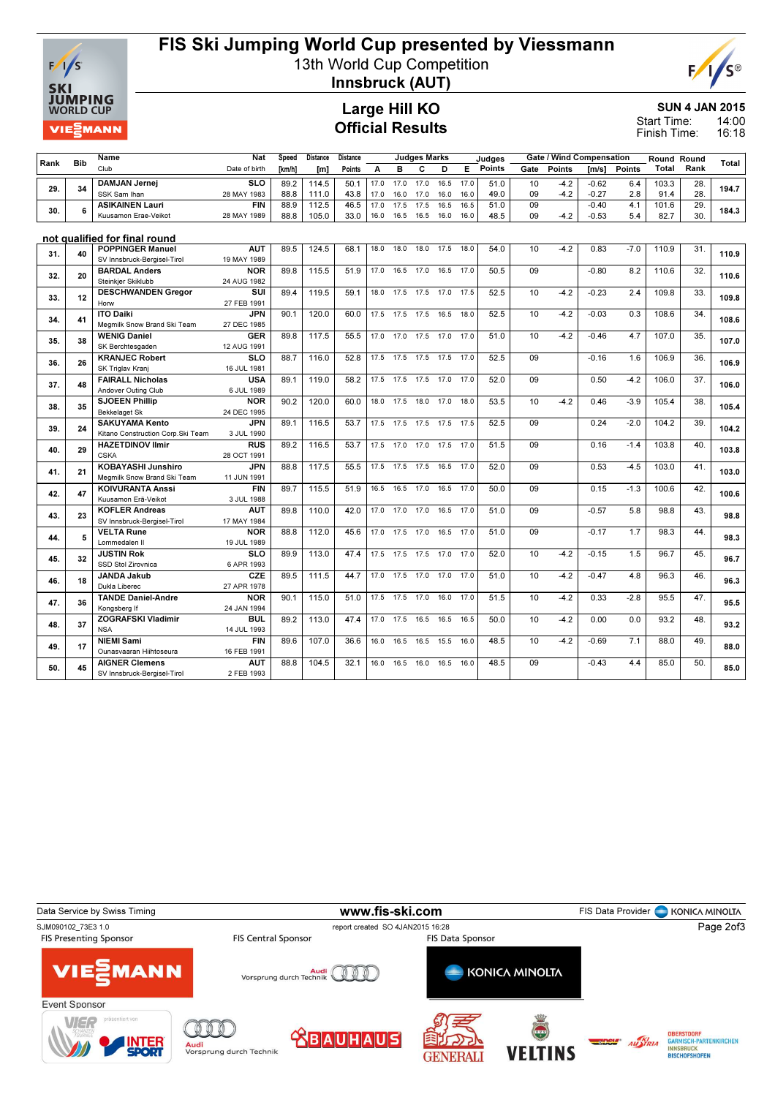

## FIS Ski Jumping World Cup presented by Viessmann

13th World Cup Competition



Innsbruck (AUT)

#### SUN 4 JAN 2015

14:00 16:18 Start Time: Finish Time:

Large Hill KO Official Results

| Rank | <b>Bib</b> | Name                                                     | Nat                | Speed  | Distance | Distance | <b>Judges Marks</b> |                     |                |      | Judges |               |      |        | Gate / Wind Compensation |               | <b>Round Round</b> | Total |       |
|------|------------|----------------------------------------------------------|--------------------|--------|----------|----------|---------------------|---------------------|----------------|------|--------|---------------|------|--------|--------------------------|---------------|--------------------|-------|-------|
|      |            | Club                                                     | Date of birth      | [km/h] | [m]      | Points   | A                   | в                   | C              | D    | E.     | <b>Points</b> | Gate | Points | $\mathsf{Im/s}$          | <b>Points</b> | <b>Total</b>       | Rank  |       |
|      |            | <b>DAMJAN Jernei</b>                                     | <b>SLO</b>         | 89.2   | 114.5    | 50.1     | 17.0                | 17.0                | 17.0           | 16.5 | 17.0   | 51.0          | 10   | $-4.2$ | $-0.62$                  | 6.4           | 103.3              | 28.   |       |
| 29.  | 34         | SSK Sam Ihan                                             | 28 MAY 1983        | 88.8   | 111.0    | 43.8     | 17.0                | 16.0                | 17.0           | 16.0 | 16.0   | 49.0          | 09   | $-4.2$ | $-0.27$                  | 2.8           | 91.4               | 28.   | 194.7 |
|      |            | <b>ASIKAINEN Lauri</b>                                   | <b>FIN</b>         | 88.9   | 112.5    | 46.5     | 17.0                | 17.5                | 17.5           | 16.5 | 16.5   | 51.0          | 09   |        | $-0.40$                  | 4.1           | 101.6              | 29.   |       |
| 30.  | 6          | Kuusamon Erae-Veikot                                     | 28 MAY 1989        | 88.8   | 105.0    | 33.0     | 16.0                | 16.5                | 16.5           | 16.0 | 16.0   | 48.5          | 09   | $-4.2$ | $-0.53$                  | 5.4           | 82.7               | 30.   | 184.3 |
|      |            |                                                          |                    |        |          |          |                     |                     |                |      |        |               |      |        |                          |               |                    |       |       |
|      |            | not qualified for final round                            |                    |        |          |          |                     |                     |                |      |        |               |      |        |                          |               |                    |       |       |
|      |            | <b>POPPINGER Manuel</b>                                  | <b>AUT</b>         | 89.5   | 124.5    | 68.1     | 18.0                | 18.0                | 18.0           | 17.5 | 18.0   | 54.0          | 10   | $-4.2$ | 0.83                     | $-7.0$        | 110.9              | 31.   |       |
| 31.  | 40         | SV Innsbruck-Bergisel-Tirol                              | 19 MAY 1989        |        |          |          |                     |                     |                |      |        |               |      |        |                          |               |                    |       | 110.9 |
| 32.  | 20         | <b>BARDAL Anders</b>                                     | <b>NOR</b>         | 89.8   | 115.5    | 51.9     | 17.0                | 16.5                | 17.0           | 16.5 | 17.0   | 50.5          | 09   |        | $-0.80$                  | 8.2           | 110.6              | 32.   | 110.6 |
|      |            | Steinkjer Skiklubb                                       | 24 AUG 1982        |        |          |          |                     |                     |                |      |        |               |      |        |                          |               |                    |       |       |
| 33.  | 12         | <b>DESCHWANDEN Greaor</b>                                | SUI                | 89.4   | 119.5    | 59.1     | 18.0                | 17.5                | 17.5           | 17.0 | 17.5   | 52.5          | 10   | $-4.2$ | $-0.23$                  | 2.4           | 109.8              | 33.   | 109.8 |
|      |            | Horw                                                     | 27 FEB 1991        |        |          |          |                     |                     |                |      |        |               |      |        |                          |               |                    |       |       |
| 34.  | 41         | <b>ITO Daiki</b>                                         | <b>JPN</b>         | 90.1   | 120.0    | 60.0     | 17.5                | 17.5                | 17.5           | 16.5 | 18.0   | 52.5          | 10   | $-4.2$ | $-0.03$                  | 0.3           | 108.6              | 34.   | 108.6 |
|      |            | Megmilk Snow Brand Ski Team                              | 27 DEC 1985        |        |          |          |                     |                     |                |      |        |               |      |        |                          |               |                    |       |       |
| 35.  | 38         | <b>WENIG Daniel</b>                                      | <b>GER</b>         | 89.8   | 117.5    | 55.5     | 17.0                | 17.0                | 17.5           | 17.0 | 17.0   | 51.0          | 10   | $-4.2$ | $-0.46$                  | 4.7           | 107.0              | 35.   | 107.0 |
|      |            | SK Berchtesgaden                                         | 12 AUG 1991        |        |          |          |                     |                     |                |      |        |               |      |        |                          |               |                    |       |       |
| 36.  | 26         | <b>KRANJEC Robert</b>                                    | <b>SLO</b>         | 88.7   | 116.0    | 52.8     |                     | 17.5 17.5 17.5 17.5 |                |      | 17.0   | 52.5          | 09   |        | $-0.16$                  | 1.6           | 106.9              | 36.   | 106.9 |
|      |            | SK Triglav Kranj                                         | 16 JUL 1981        |        |          |          |                     |                     |                |      |        |               |      |        |                          |               |                    |       |       |
| 37.  | 48         | <b>FAIRALL Nicholas</b>                                  | USA                | 89.1   | 119.0    | 58.2     |                     | 17.5 17.5 17.5 17.0 |                |      | 17.0   | 52.0          | 09   |        | 0.50                     | $-4.2$        | 106.0              | 37.   | 106.0 |
|      |            | Andover Outing Club                                      | 6 JUL 1989         |        |          |          |                     |                     |                |      |        |               |      |        |                          |               |                    |       |       |
| 38.  | 35         | <b>SJOEEN Phillip</b>                                    | <b>NOR</b>         | 90.2   | 120.0    | 60.0     | 18.0                | 17.5 18.0           |                | 17.0 | 18.0   | 53.5          | 10   | $-4.2$ | 0.46                     | $-3.9$        | 105.4              | 38.   | 105.4 |
|      |            | Bekkelaget Sk                                            | 24 DEC 1995        |        |          |          |                     |                     |                |      |        |               |      |        |                          |               |                    |       |       |
| 39.  | 24         | <b>SAKUYAMA Kento</b>                                    | <b>JPN</b>         | 89.1   | 116.5    | 53.7     | 17.5                |                     | 17.5 17.5 17.5 |      | 17.5   | 52.5          | 09   |        | 0.24                     | $-2.0$        | 104.2              | 39.   | 104.2 |
|      |            | Kitano Construction Corp.Ski Team                        | 3 JUL 1990         |        |          |          |                     |                     |                |      |        |               |      |        |                          |               |                    |       |       |
| 40.  | 29         | <b>HAZETDINOV Ilmir</b>                                  | <b>RUS</b>         | 89.2   | 116.5    | 53.7     | 17.5                | 17.0                | 17.0           | 17.5 | 17.0   | 51.5          | 09   |        | 0.16                     | $-1.4$        | 103.8              | 40.   | 103.8 |
|      |            | <b>CSKA</b>                                              | 28 OCT 1991        |        |          |          |                     |                     |                |      |        |               |      |        |                          |               |                    |       |       |
| 41.  | 21         | <b>KOBAYASHI Junshiro</b><br>Megmilk Snow Brand Ski Team | JPN<br>11 JUN 1991 | 88.8   | 117.5    | 55.5     | 17.5                | 17.5                | 17.5           | 16.5 | 17.0   | 52.0          | 09   |        | 0.53                     | $-4.5$        | 103.0              | 41.   | 103.0 |
|      |            | <b>KOIVURANTA Anssi</b>                                  | <b>FIN</b>         | 89.7   | 115.5    | 51.9     | 16.5                | 16.5                | 17.0           | 16.5 | 17.0   | 50.0          | 09   |        | 0.15                     | $-1.3$        | 100.6              | 42.   |       |
| 42.  | 47         | Kuusamon Erä-Veikot                                      | 3 JUL 1988         |        |          |          |                     |                     |                |      |        |               |      |        |                          |               |                    |       | 100.6 |
|      |            | <b>KOFLER Andreas</b>                                    | <b>AUT</b>         | 89.8   | 110.0    | 42.0     | 17.0                | 17.0                | 17.0           | 16.5 | 17.0   | 51.0          | 09   |        | $-0.57$                  | 5.8           | 98.8               | 43.   |       |
| 43.  | 23         | SV Innsbruck-Bergisel-Tirol                              | 17 MAY 1984        |        |          |          |                     |                     |                |      |        |               |      |        |                          |               |                    |       | 98.8  |
|      |            | <b>VELTA Rune</b>                                        | <b>NOR</b>         | 88.8   | 112.0    | 45.6     | 17.0                | 17.5                | 17.0           | 16.5 | 17.0   | 51.0          | 09   |        | $-0.17$                  | 1.7           | 98.3               | 44.   |       |
| 44.  | 5          | Lommedalen II                                            | 19 JUL 1989        |        |          |          |                     |                     |                |      |        |               |      |        |                          |               |                    |       | 98.3  |
|      |            | <b>JUSTIN Rok</b>                                        | <b>SLO</b>         | 89.9   | 113.0    | 47.4     |                     | 17.5 17.5 17.5 17.0 |                |      | 17.0   | 52.0          | 10   | $-4.2$ | $-0.15$                  | 1.5           | 96.7               | 45.   |       |
| 45.  | 32         | SSD Stol Zirovnica                                       | 6 APR 1993         |        |          |          |                     |                     |                |      |        |               |      |        |                          |               |                    |       | 96.7  |
|      |            | <b>JANDA Jakub</b>                                       | CZE                | 89.5   | 111.5    | 44.7     | 17.0                | 17.5 17.0 17.0      |                |      | 17.0   | 51.0          | 10   | $-4.2$ | $-0.47$                  | 4.8           | 96.3               | 46.   |       |
| 46.  | 18         | Dukla Liberec                                            | 27 APR 1978        |        |          |          |                     |                     |                |      |        |               |      |        |                          |               |                    |       | 96.3  |
|      |            | <b>TANDE Daniel-Andre</b>                                | <b>NOR</b>         | 90.1   | 115.0    | 51.0     |                     | 17.5 17.5 17.0      |                | 16.0 | 17.0   | 51.5          | 10   | $-4.2$ | 0.33                     | $-2.8$        | 95.5               | 47.   |       |
| 47.  | 36         | Kongsberg If                                             | 24 JAN 1994        |        |          |          |                     |                     |                |      |        |               |      |        |                          |               |                    |       | 95.5  |
|      | 37         | <b>ZOGRAFSKI Vladimir</b>                                | <b>BUL</b>         | 89.2   | 113.0    | 47.4     | 17.0                | 17.5 16.5           |                | 16.5 | 16.5   | 50.0          | 10   | $-4.2$ | 0.00                     | 0.0           | 93.2               | 48.   | 93.2  |
| 48.  |            | <b>NSA</b>                                               | 14 JUL 1993        |        |          |          |                     |                     |                |      |        |               |      |        |                          |               |                    |       |       |
| 49.  | 17         | <b>NIEMI Sami</b>                                        | FIN                | 89.6   | 107.0    | 36.6     | 16.0                | 16.5                | 16.5           | 15.5 | 16.0   | 48.5          | 10   | $-4.2$ | $-0.69$                  | 7.1           | 88.0               | 49.   | 88.0  |
|      |            | Ounasvaaran Hiihtoseura                                  | 16 FEB 1991        |        |          |          |                     |                     |                |      |        |               |      |        |                          |               |                    |       |       |
| 50.  | 45         | <b>AIGNER Clemens</b>                                    | <b>AUT</b>         | 88.8   | 104.5    | 32.1     | 16.0                | 16.5                | 16.0           | 16.5 | 16.0   | 48.5          | 09   |        | $-0.43$                  | 4.4           | 85.0               | 50.   | 85.0  |
|      |            | SV Innsbruck-Bergisel-Tirol                              | 2 FEB 1993         |        |          |          |                     |                     |                |      |        |               |      |        |                          |               |                    |       |       |